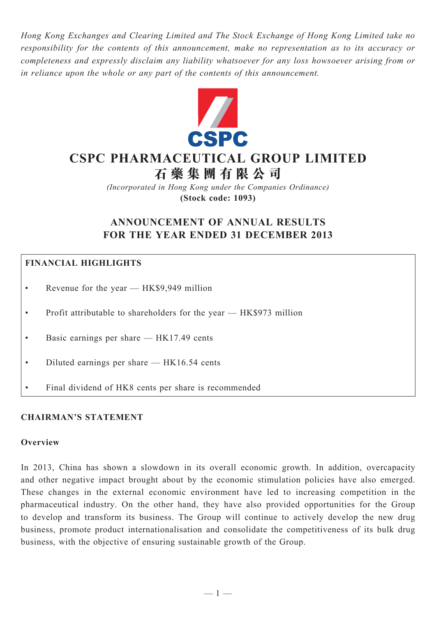*Hong Kong Exchanges and Clearing Limited and The Stock Exchange of Hong Kong Limited take no responsibility for the contents of this announcement, make no representation as to its accuracy or completeness and expressly disclaim any liability whatsoever for any loss howsoever arising from or in reliance upon the whole or any part of the contents of this announcement.*



# **CSPC PHARMACEUTICAL GROUP LIMITED**

**石 藥 集 團 有 限 公 司**

*(Incorporated in Hong Kong under the Companies Ordinance)* **(Stock code: 1093)**

## **ANNOUNCEMENT OF ANNUAL RESULTS FOR THE YEAR ENDED 31 DECEMBER 2013**

## **FINANCIAL HIGHLIGHTS**

- Revenue for the year  $-$  HK\$9,949 million
- Profit attributable to shareholders for the year  $-$  HK\$973 million
- Basic earnings per share  $-$  HK17.49 cents
- Diluted earnings per share  $-$  HK16.54 cents
- Final dividend of HK8 cents per share is recommended

## **CHAIRMAN'S STATEMENT**

#### **Overview**

In 2013, China has shown a slowdown in its overall economic growth. In addition, overcapacity and other negative impact brought about by the economic stimulation policies have also emerged. These changes in the external economic environment have led to increasing competition in the pharmaceutical industry. On the other hand, they have also provided opportunities for the Group to develop and transform its business. The Group will continue to actively develop the new drug business, promote product internationalisation and consolidate the competitiveness of its bulk drug business, with the objective of ensuring sustainable growth of the Group.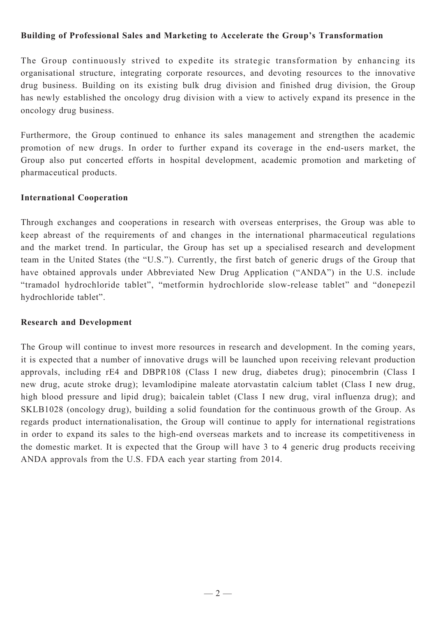## **Building of Professional Sales and Marketing to Accelerate the Group's Transformation**

The Group continuously strived to expedite its strategic transformation by enhancing its organisational structure, integrating corporate resources, and devoting resources to the innovative drug business. Building on its existing bulk drug division and finished drug division, the Group has newly established the oncology drug division with a view to actively expand its presence in the oncology drug business.

Furthermore, the Group continued to enhance its sales management and strengthen the academic promotion of new drugs. In order to further expand its coverage in the end-users market, the Group also put concerted efforts in hospital development, academic promotion and marketing of pharmaceutical products.

## **International Cooperation**

Through exchanges and cooperations in research with overseas enterprises, the Group was able to keep abreast of the requirements of and changes in the international pharmaceutical regulations and the market trend. In particular, the Group has set up a specialised research and development team in the United States (the "U.S."). Currently, the first batch of generic drugs of the Group that have obtained approvals under Abbreviated New Drug Application ("ANDA") in the U.S. include "tramadol hydrochloride tablet", "metformin hydrochloride slow-release tablet" and "donepezil hydrochloride tablet".

## **Research and Development**

The Group will continue to invest more resources in research and development. In the coming years, it is expected that a number of innovative drugs will be launched upon receiving relevant production approvals, including rE4 and DBPR108 (Class I new drug, diabetes drug); pinocembrin (Class I new drug, acute stroke drug); levamlodipine maleate atorvastatin calcium tablet (Class I new drug, high blood pressure and lipid drug); baicalein tablet (Class I new drug, viral influenza drug); and SKLB1028 (oncology drug), building a solid foundation for the continuous growth of the Group. As regards product internationalisation, the Group will continue to apply for international registrations in order to expand its sales to the high-end overseas markets and to increase its competitiveness in the domestic market. It is expected that the Group will have 3 to 4 generic drug products receiving ANDA approvals from the U.S. FDA each year starting from 2014.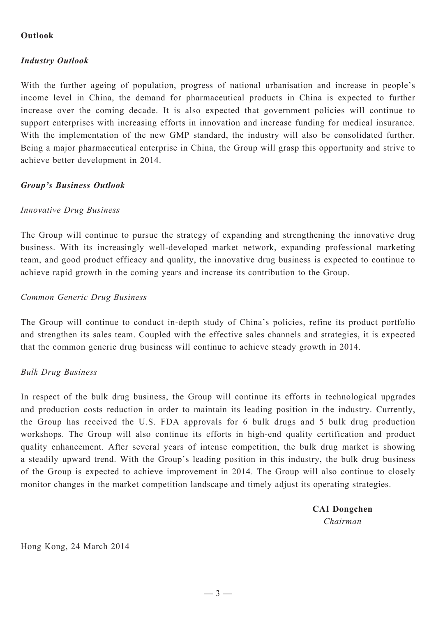## **Outlook**

## *Industry Outlook*

With the further ageing of population, progress of national urbanisation and increase in people's income level in China, the demand for pharmaceutical products in China is expected to further increase over the coming decade. It is also expected that government policies will continue to support enterprises with increasing efforts in innovation and increase funding for medical insurance. With the implementation of the new GMP standard, the industry will also be consolidated further. Being a major pharmaceutical enterprise in China, the Group will grasp this opportunity and strive to achieve better development in 2014.

## *Group's Business Outlook*

## *Innovative Drug Business*

The Group will continue to pursue the strategy of expanding and strengthening the innovative drug business. With its increasingly well-developed market network, expanding professional marketing team, and good product efficacy and quality, the innovative drug business is expected to continue to achieve rapid growth in the coming years and increase its contribution to the Group.

#### *Common Generic Drug Business*

The Group will continue to conduct in-depth study of China's policies, refine its product portfolio and strengthen its sales team. Coupled with the effective sales channels and strategies, it is expected that the common generic drug business will continue to achieve steady growth in 2014.

## *Bulk Drug Business*

In respect of the bulk drug business, the Group will continue its efforts in technological upgrades and production costs reduction in order to maintain its leading position in the industry. Currently, the Group has received the U.S. FDA approvals for 6 bulk drugs and 5 bulk drug production workshops. The Group will also continue its efforts in high-end quality certification and product quality enhancement. After several years of intense competition, the bulk drug market is showing a steadily upward trend. With the Group's leading position in this industry, the bulk drug business of the Group is expected to achieve improvement in 2014. The Group will also continue to closely monitor changes in the market competition landscape and timely adjust its operating strategies.

> **CAI Dongchen** *Chairman*

Hong Kong, 24 March 2014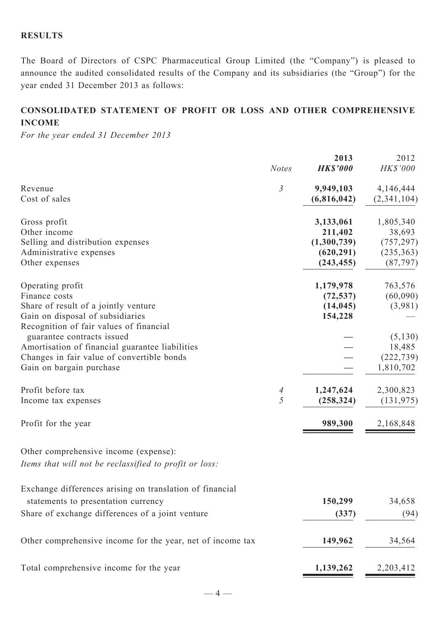## **RESULTS**

The Board of Directors of CSPC Pharmaceutical Group Limited (the "Company") is pleased to announce the audited consolidated results of the Company and its subsidiaries (the "Group") for the year ended 31 December 2013 as follows:

## **CONSOLIDATED STATEMENT OF profit or loss AND OTHER COMPREHENSIVE INCOME**

*For the year ended 31 December 2013*

|                                                                                                                                                          | <b>Notes</b>        | 2013<br><b>HK\$'000</b>                                         | 2012<br>HK\$'000                                             |
|----------------------------------------------------------------------------------------------------------------------------------------------------------|---------------------|-----------------------------------------------------------------|--------------------------------------------------------------|
| Revenue<br>Cost of sales                                                                                                                                 | $\mathfrak{Z}$      | 9,949,103<br>(6,816,042)                                        | 4,146,444<br>(2, 341, 104)                                   |
| Gross profit<br>Other income<br>Selling and distribution expenses<br>Administrative expenses<br>Other expenses                                           |                     | 3,133,061<br>211,402<br>(1,300,739)<br>(620, 291)<br>(243, 455) | 1,805,340<br>38,693<br>(757, 297)<br>(235, 363)<br>(87, 797) |
| Operating profit<br>Finance costs<br>Share of result of a jointly venture<br>Gain on disposal of subsidiaries<br>Recognition of fair values of financial |                     | 1,179,978<br>(72, 537)<br>(14, 045)<br>154,228                  | 763,576<br>(60,090)<br>(3,981)                               |
| guarantee contracts issued<br>Amortisation of financial guarantee liabilities<br>Changes in fair value of convertible bonds<br>Gain on bargain purchase  |                     |                                                                 | (5, 130)<br>18,485<br>(222, 739)<br>1,810,702                |
| Profit before tax<br>Income tax expenses                                                                                                                 | $\overline{A}$<br>5 | 1,247,624<br>(258, 324)                                         | 2,300,823<br>(131, 975)                                      |
| Profit for the year                                                                                                                                      |                     | 989,300                                                         | 2,168,848                                                    |
| Other comprehensive income (expense):<br>Items that will not be reclassified to profit or loss:                                                          |                     |                                                                 |                                                              |
| Exchange differences arising on translation of financial<br>statements to presentation currency                                                          |                     | 150,299                                                         | 34,658                                                       |
| Share of exchange differences of a joint venture                                                                                                         |                     | (337)                                                           | (94)                                                         |
| Other comprehensive income for the year, net of income tax                                                                                               |                     | 149,962                                                         | 34,564                                                       |
| Total comprehensive income for the year                                                                                                                  |                     | 1,139,262                                                       | 2,203,412                                                    |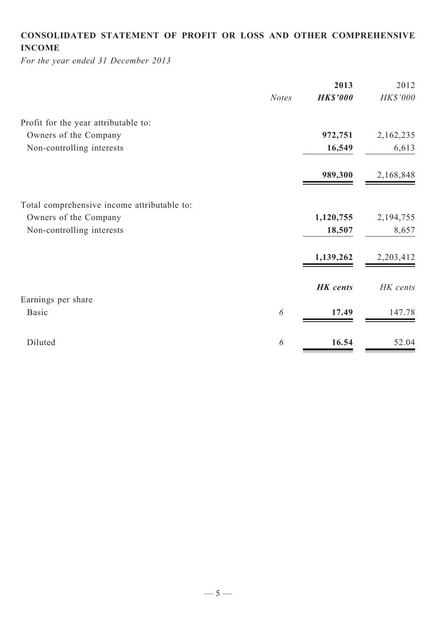## **CONSOLIDATED STATEMENT OF profit or loss and Other COMPREHENSIVE INCOME**

*For the year ended 31 December 2013*

| <b>HK\$'000</b><br><b>Notes</b><br>972,751<br>16,549<br>989,300 | HK\$'000<br>2,162,235<br>6,613 |
|-----------------------------------------------------------------|--------------------------------|
|                                                                 |                                |
|                                                                 |                                |
|                                                                 |                                |
|                                                                 |                                |
|                                                                 | 2,168,848                      |
|                                                                 |                                |
| 1,120,755                                                       | 2,194,755                      |
| 18,507                                                          | 8,657                          |
| 1,139,262                                                       | 2,203,412                      |
| <b>HK</b> cents                                                 | HK cents                       |
|                                                                 |                                |
| 17.49                                                           | 147.78                         |
|                                                                 | 52.04                          |
|                                                                 | 16.54                          |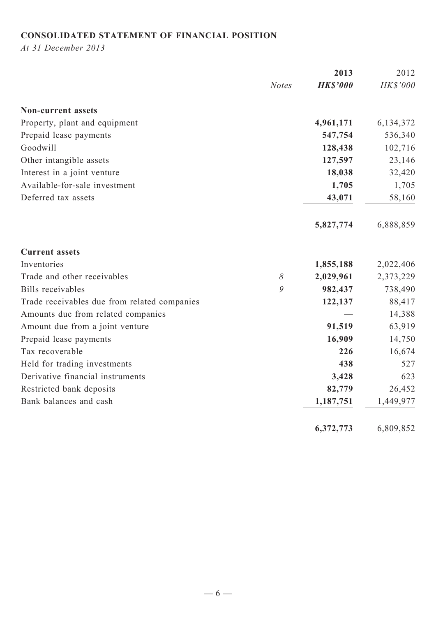## **CONSOLIDATED STATEMENT OF FINANCIAL POSITION**

*At 31 December 2013*

|                                              |              | 2013            | 2012        |
|----------------------------------------------|--------------|-----------------|-------------|
|                                              | <b>Notes</b> | <b>HK\$'000</b> | HK\$'000    |
| <b>Non-current assets</b>                    |              |                 |             |
| Property, plant and equipment                |              | 4,961,171       | 6, 134, 372 |
| Prepaid lease payments                       |              | 547,754         | 536,340     |
| Goodwill                                     |              | 128,438         | 102,716     |
| Other intangible assets                      |              | 127,597         | 23,146      |
| Interest in a joint venture                  |              | 18,038          | 32,420      |
| Available-for-sale investment                |              | 1,705           | 1,705       |
| Deferred tax assets                          |              | 43,071          | 58,160      |
|                                              |              | 5,827,774       | 6,888,859   |
| <b>Current assets</b>                        |              |                 |             |
| Inventories                                  |              | 1,855,188       | 2,022,406   |
| Trade and other receivables                  | $\delta$     | 2,029,961       | 2,373,229   |
| <b>Bills</b> receivables                     | 9            | 982,437         | 738,490     |
| Trade receivables due from related companies |              | 122,137         | 88,417      |
| Amounts due from related companies           |              |                 | 14,388      |
| Amount due from a joint venture              |              | 91,519          | 63,919      |
| Prepaid lease payments                       |              | 16,909          | 14,750      |
| Tax recoverable                              |              | 226             | 16,674      |
| Held for trading investments                 |              | 438             | 527         |
| Derivative financial instruments             |              | 3,428           | 623         |
| Restricted bank deposits                     |              | 82,779          | 26,452      |
| Bank balances and cash                       |              | 1,187,751       | 1,449,977   |
|                                              |              | 6,372,773       | 6,809,852   |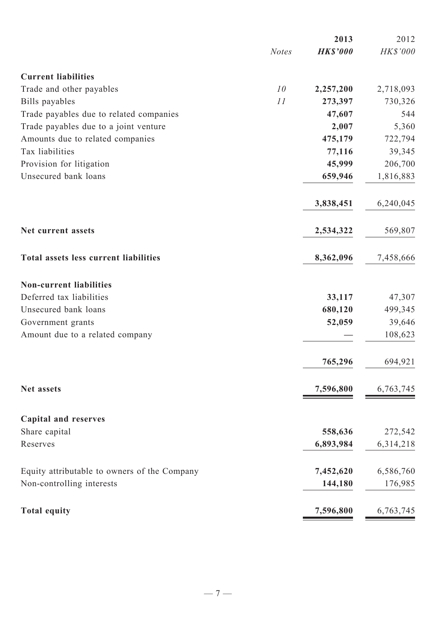|                                              |              | 2013            | 2012      |
|----------------------------------------------|--------------|-----------------|-----------|
|                                              | <b>Notes</b> | <b>HK\$'000</b> | HK\$'000  |
| <b>Current liabilities</b>                   |              |                 |           |
| Trade and other payables                     | 10           | 2,257,200       | 2,718,093 |
| Bills payables                               | 11           | 273,397         | 730,326   |
| Trade payables due to related companies      |              | 47,607          | 544       |
| Trade payables due to a joint venture        |              | 2,007           | 5,360     |
| Amounts due to related companies             |              | 475,179         | 722,794   |
| Tax liabilities                              |              | 77,116          | 39,345    |
| Provision for litigation                     |              | 45,999          | 206,700   |
| Unsecured bank loans                         |              | 659,946         | 1,816,883 |
|                                              |              | 3,838,451       | 6,240,045 |
| Net current assets                           |              | 2,534,322       | 569,807   |
| Total assets less current liabilities        |              | 8,362,096       | 7,458,666 |
| <b>Non-current liabilities</b>               |              |                 |           |
| Deferred tax liabilities                     |              | 33,117          | 47,307    |
| Unsecured bank loans                         |              | 680,120         | 499,345   |
| Government grants                            |              | 52,059          | 39,646    |
| Amount due to a related company              |              |                 | 108,623   |
|                                              |              | 765,296         | 694,921   |
| Net assets                                   |              | 7,596,800       | 6,763,745 |
| <b>Capital and reserves</b>                  |              |                 |           |
| Share capital                                |              | 558,636         | 272,542   |
| Reserves                                     |              | 6,893,984       | 6,314,218 |
| Equity attributable to owners of the Company |              | 7,452,620       | 6,586,760 |
| Non-controlling interests                    |              | 144,180         | 176,985   |
| <b>Total equity</b>                          |              | 7,596,800       | 6,763,745 |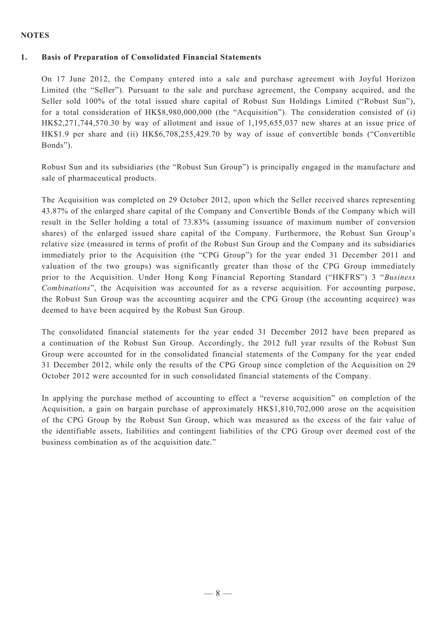#### **NOTES**

#### **1. Basis of Preparation of Consolidated Financial Statements**

On 17 June 2012, the Company entered into a sale and purchase agreement with Joyful Horizon Limited (the "Seller"). Pursuant to the sale and purchase agreement, the Company acquired, and the Seller sold 100% of the total issued share capital of Robust Sun Holdings Limited ("Robust Sun"), for a total consideration of HK\$8,980,000,000 (the "Acquisition"). The consideration consisted of (i) HK\$2,271,744,570.30 by way of allotment and issue of 1,195,655,037 new shares at an issue price of HK\$1.9 per share and (ii) HK\$6,708,255,429.70 by way of issue of convertible bonds ("Convertible Bonds").

Robust Sun and its subsidiaries (the "Robust Sun Group") is principally engaged in the manufacture and sale of pharmaceutical products.

The Acquisition was completed on 29 October 2012, upon which the Seller received shares representing 43.87% of the enlarged share capital of the Company and Convertible Bonds of the Company which will result in the Seller holding a total of 73.83% (assuming issuance of maximum number of conversion shares) of the enlarged issued share capital of the Company. Furthermore, the Robust Sun Group's relative size (measured in terms of profit of the Robust Sun Group and the Company and its subsidiaries immediately prior to the Acquisition (the "CPG Group") for the year ended 31 December 2011 and valuation of the two groups) was significantly greater than those of the CPG Group immediately prior to the Acquisition. Under Hong Kong Financial Reporting Standard ("HKFRS") 3 "*Business Combinations*", the Acquisition was accounted for as a reverse acquisition. For accounting purpose, the Robust Sun Group was the accounting acquirer and the CPG Group (the accounting acquiree) was deemed to have been acquired by the Robust Sun Group.

The consolidated financial statements for the year ended 31 December 2012 have been prepared as a continuation of the Robust Sun Group. Accordingly, the 2012 full year results of the Robust Sun Group were accounted for in the consolidated financial statements of the Company for the year ended 31 December 2012, while only the results of the CPG Group since completion of the Acquisition on 29 October 2012 were accounted for in such consolidated financial statements of the Company.

In applying the purchase method of accounting to effect a "reverse acquisition" on completion of the Acquisition, a gain on bargain purchase of approximately HK\$1,810,702,000 arose on the acquisition of the CPG Group by the Robust Sun Group, which was measured as the excess of the fair value of the identifiable assets, liabilities and contingent liabilities of the CPG Group over deemed cost of the business combination as of the acquisition date."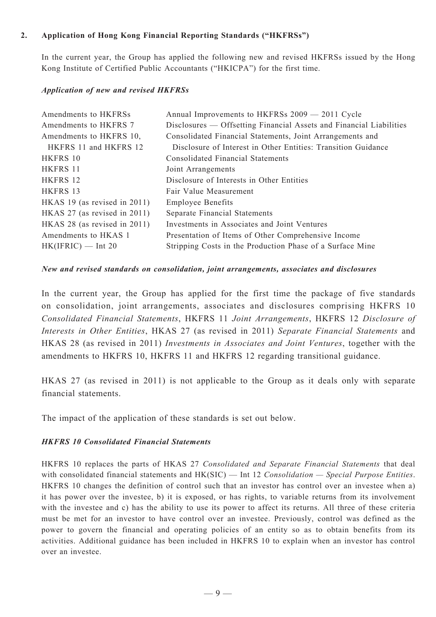### **2. Application of Hong Kong Financial Reporting Standards ("HKFRSs")**

In the current year, the Group has applied the following new and revised HKFRSs issued by the Hong Kong Institute of Certified Public Accountants ("HKICPA") for the first time.

#### *Application of new and revised HKFRSs*

| Amendments to HKFRSs            | Annual Improvements to HKFRSs 2009 - 2011 Cycle                     |
|---------------------------------|---------------------------------------------------------------------|
| Amendments to HKFRS 7           | Disclosures — Offsetting Financial Assets and Financial Liabilities |
| Amendments to HKFRS 10,         | Consolidated Financial Statements, Joint Arrangements and           |
| HKFRS 11 and HKFRS 12           | Disclosure of Interest in Other Entities: Transition Guidance       |
| HKFRS 10                        | <b>Consolidated Financial Statements</b>                            |
| HKFRS 11                        | Joint Arrangements                                                  |
| HKFRS 12                        | Disclosure of Interests in Other Entities                           |
| HKFRS 13                        | Fair Value Measurement                                              |
| HKAS 19 (as revised in 2011)    | <b>Employee Benefits</b>                                            |
| HKAS 27 (as revised in 2011)    | Separate Financial Statements                                       |
| HKAS 28 (as revised in $2011$ ) | Investments in Associates and Joint Ventures                        |
| Amendments to HKAS 1            | Presentation of Items of Other Comprehensive Income                 |
| $HK(IFRIC)$ — Int 20            | Stripping Costs in the Production Phase of a Surface Mine           |
|                                 |                                                                     |

#### *New and revised standards on consolidation, joint arrangements, associates and disclosures*

In the current year, the Group has applied for the first time the package of five standards on consolidation, joint arrangements, associates and disclosures comprising HKFRS 10 *Consolidated Financial Statements*, HKFRS 11 *Joint Arrangements*, HKFRS 12 *Disclosure of Interests in Other Entities*, HKAS 27 (as revised in 2011) *Separate Financial Statements* and HKAS 28 (as revised in 2011) *Investments in Associates and Joint Ventures*, together with the amendments to HKFRS 10, HKFRS 11 and HKFRS 12 regarding transitional guidance.

HKAS 27 (as revised in 2011) is not applicable to the Group as it deals only with separate financial statements.

The impact of the application of these standards is set out below.

#### *HKFRS 10 Consolidated Financial Statements*

HKFRS 10 replaces the parts of HKAS 27 *Consolidated and Separate Financial Statements* that deal with consolidated financial statements and HK(SIC) — Int 12 *Consolidation — Special Purpose Entities*. HKFRS 10 changes the definition of control such that an investor has control over an investee when a) it has power over the investee, b) it is exposed, or has rights, to variable returns from its involvement with the investee and c) has the ability to use its power to affect its returns. All three of these criteria must be met for an investor to have control over an investee. Previously, control was defined as the power to govern the financial and operating policies of an entity so as to obtain benefits from its activities. Additional guidance has been included in HKFRS 10 to explain when an investor has control over an investee.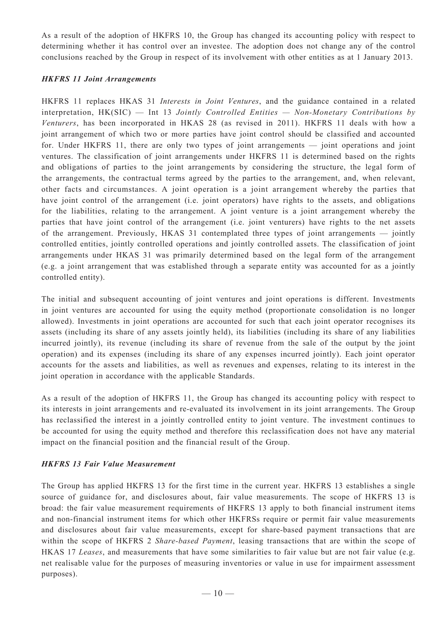As a result of the adoption of HKFRS 10, the Group has changed its accounting policy with respect to determining whether it has control over an investee. The adoption does not change any of the control conclusions reached by the Group in respect of its involvement with other entities as at 1 January 2013.

#### *HKFRS 11 Joint Arrangements*

HKFRS 11 replaces HKAS 31 *Interests in Joint Ventures*, and the guidance contained in a related interpretation, HK(SIC) — Int 13 *Jointly Controlled Entities — Non-Monetary Contributions by Venturers*, has been incorporated in HKAS 28 (as revised in 2011). HKFRS 11 deals with how a joint arrangement of which two or more parties have joint control should be classified and accounted for. Under HKFRS 11, there are only two types of joint arrangements — joint operations and joint ventures. The classification of joint arrangements under HKFRS 11 is determined based on the rights and obligations of parties to the joint arrangements by considering the structure, the legal form of the arrangements, the contractual terms agreed by the parties to the arrangement, and, when relevant, other facts and circumstances. A joint operation is a joint arrangement whereby the parties that have joint control of the arrangement (i.e. joint operators) have rights to the assets, and obligations for the liabilities, relating to the arrangement. A joint venture is a joint arrangement whereby the parties that have joint control of the arrangement (i.e. joint venturers) have rights to the net assets of the arrangement. Previously, HKAS 31 contemplated three types of joint arrangements — jointly controlled entities, jointly controlled operations and jointly controlled assets. The classification of joint arrangements under HKAS 31 was primarily determined based on the legal form of the arrangement (e.g. a joint arrangement that was established through a separate entity was accounted for as a jointly controlled entity).

The initial and subsequent accounting of joint ventures and joint operations is different. Investments in joint ventures are accounted for using the equity method (proportionate consolidation is no longer allowed). Investments in joint operations are accounted for such that each joint operator recognises its assets (including its share of any assets jointly held), its liabilities (including its share of any liabilities incurred jointly), its revenue (including its share of revenue from the sale of the output by the joint operation) and its expenses (including its share of any expenses incurred jointly). Each joint operator accounts for the assets and liabilities, as well as revenues and expenses, relating to its interest in the joint operation in accordance with the applicable Standards.

As a result of the adoption of HKFRS 11, the Group has changed its accounting policy with respect to its interests in joint arrangements and re-evaluated its involvement in its joint arrangements. The Group has reclassified the interest in a jointly controlled entity to joint venture. The investment continues to be accounted for using the equity method and therefore this reclassification does not have any material impact on the financial position and the financial result of the Group.

#### *HKFRS 13 Fair Value Measurement*

The Group has applied HKFRS 13 for the first time in the current year. HKFRS 13 establishes a single source of guidance for, and disclosures about, fair value measurements. The scope of HKFRS 13 is broad: the fair value measurement requirements of HKFRS 13 apply to both financial instrument items and non-financial instrument items for which other HKFRSs require or permit fair value measurements and disclosures about fair value measurements, except for share-based payment transactions that are within the scope of HKFRS 2 *Share-based Payment*, leasing transactions that are within the scope of HKAS 17 *Leases*, and measurements that have some similarities to fair value but are not fair value (e.g. net realisable value for the purposes of measuring inventories or value in use for impairment assessment purposes).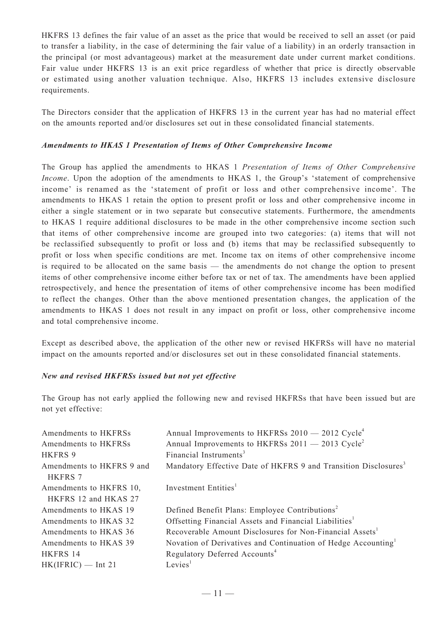HKFRS 13 defines the fair value of an asset as the price that would be received to sell an asset (or paid to transfer a liability, in the case of determining the fair value of a liability) in an orderly transaction in the principal (or most advantageous) market at the measurement date under current market conditions. Fair value under HKFRS 13 is an exit price regardless of whether that price is directly observable or estimated using another valuation technique. Also, HKFRS 13 includes extensive disclosure requirements.

The Directors consider that the application of HKFRS 13 in the current year has had no material effect on the amounts reported and/or disclosures set out in these consolidated financial statements.

#### *Amendments to HKAS 1 Presentation of Items of Other Comprehensive Income*

The Group has applied the amendments to HKAS 1 *Presentation of Items of Other Comprehensive Income*. Upon the adoption of the amendments to HKAS 1, the Group's 'statement of comprehensive income' is renamed as the 'statement of profit or loss and other comprehensive income'. The amendments to HKAS 1 retain the option to present profit or loss and other comprehensive income in either a single statement or in two separate but consecutive statements. Furthermore, the amendments to HKAS 1 require additional disclosures to be made in the other comprehensive income section such that items of other comprehensive income are grouped into two categories: (a) items that will not be reclassified subsequently to profit or loss and (b) items that may be reclassified subsequently to profit or loss when specific conditions are met. Income tax on items of other comprehensive income is required to be allocated on the same basis — the amendments do not change the option to present items of other comprehensive income either before tax or net of tax. The amendments have been applied retrospectively, and hence the presentation of items of other comprehensive income has been modified to reflect the changes. Other than the above mentioned presentation changes, the application of the amendments to HKAS 1 does not result in any impact on profit or loss, other comprehensive income and total comprehensive income.

Except as described above, the application of the other new or revised HKFRSs will have no material impact on the amounts reported and/or disclosures set out in these consolidated financial statements.

#### *New and revised HKFRSs issued but not yet effective*

The Group has not early applied the following new and revised HKFRSs that have been issued but are not yet effective:

| Amendments to HKFRSs<br>Amendments to HKFRSs<br><b>HKFRS 9</b> | Annual Improvements to HKFRSs $2010 - 2012$ Cycle <sup>4</sup><br>Annual Improvements to HKFRSs $2011 - 2013$ Cycle <sup>2</sup><br>Financial Instruments <sup>3</sup> |
|----------------------------------------------------------------|------------------------------------------------------------------------------------------------------------------------------------------------------------------------|
|                                                                |                                                                                                                                                                        |
| Amendments to HKFRS 9 and<br><b>HKFRS 7</b>                    | Mandatory Effective Date of HKFRS 9 and Transition Disclosures <sup>3</sup>                                                                                            |
| Amendments to HKFRS 10,<br>HKFRS 12 and HKAS 27                | Investment Entities <sup>1</sup>                                                                                                                                       |
| Amendments to HKAS 19                                          | Defined Benefit Plans: Employee Contributions <sup>2</sup>                                                                                                             |
| Amendments to HKAS 32                                          | Offsetting Financial Assets and Financial Liabilities <sup>1</sup>                                                                                                     |
| Amendments to HKAS 36                                          | Recoverable Amount Disclosures for Non-Financial Assets <sup>1</sup>                                                                                                   |
| Amendments to HKAS 39                                          | Novation of Derivatives and Continuation of Hedge Accounting                                                                                                           |
| HKFRS 14                                                       | Regulatory Deferred Accounts <sup>4</sup>                                                                                                                              |
| $HK(IFRIC)$ — Int 21                                           | Levies <sup>1</sup>                                                                                                                                                    |
|                                                                |                                                                                                                                                                        |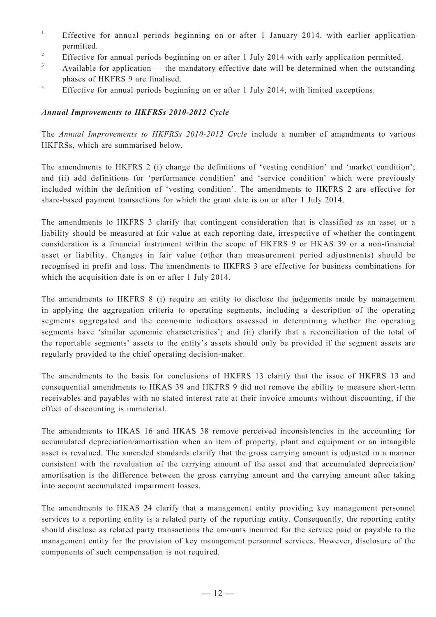- 1 Effective for annual periods beginning on or after 1 January 2014, with earlier application permitted.
- 2 Effective for annual periods beginning on or after 1 July 2014 with early application permitted.
- 3 Available for application — the mandatory effective date will be determined when the outstanding phases of HKFRS 9 are finalised.
- 4 Effective for annual periods beginning on or after 1 July 2014, with limited exceptions.

#### *Annual Improvements to HKFRSs 2010-2012 Cycle*

The *Annual Improvements to HKFRSs 2010-2012 Cycle* include a number of amendments to various HKFRSs, which are summarised below.

The amendments to HKFRS 2 (i) change the definitions of 'vesting condition' and 'market condition'; and (ii) add definitions for 'performance condition' and 'service condition' which were previously included within the definition of 'vesting condition'. The amendments to HKFRS 2 are effective for share-based payment transactions for which the grant date is on or after 1 July 2014.

The amendments to HKFRS 3 clarify that contingent consideration that is classified as an asset or a liability should be measured at fair value at each reporting date, irrespective of whether the contingent consideration is a financial instrument within the scope of HKFRS 9 or HKAS 39 or a non-financial asset or liability. Changes in fair value (other than measurement period adjustments) should be recognised in profit and loss. The amendments to HKFRS 3 are effective for business combinations for which the acquisition date is on or after 1 July 2014.

The amendments to HKFRS 8 (i) require an entity to disclose the judgements made by management in applying the aggregation criteria to operating segments, including a description of the operating segments aggregated and the economic indicators assessed in determining whether the operating segments have 'similar economic characteristics'; and (ii) clarify that a reconciliation of the total of the reportable segments' assets to the entity's assets should only be provided if the segment assets are regularly provided to the chief operating decision-maker.

The amendments to the basis for conclusions of HKFRS 13 clarify that the issue of HKFRS 13 and consequential amendments to HKAS 39 and HKFRS 9 did not remove the ability to measure short-term receivables and payables with no stated interest rate at their invoice amounts without discounting, if the effect of discounting is immaterial.

The amendments to HKAS 16 and HKAS 38 remove perceived inconsistencies in the accounting for accumulated depreciation/amortisation when an item of property, plant and equipment or an intangible asset is revalued. The amended standards clarify that the gross carrying amount is adjusted in a manner consistent with the revaluation of the carrying amount of the asset and that accumulated depreciation/ amortisation is the difference between the gross carrying amount and the carrying amount after taking into account accumulated impairment losses.

The amendments to HKAS 24 clarify that a management entity providing key management personnel services to a reporting entity is a related party of the reporting entity. Consequently, the reporting entity should disclose as related party transactions the amounts incurred for the service paid or payable to the management entity for the provision of key management personnel services. However, disclosure of the components of such compensation is not required.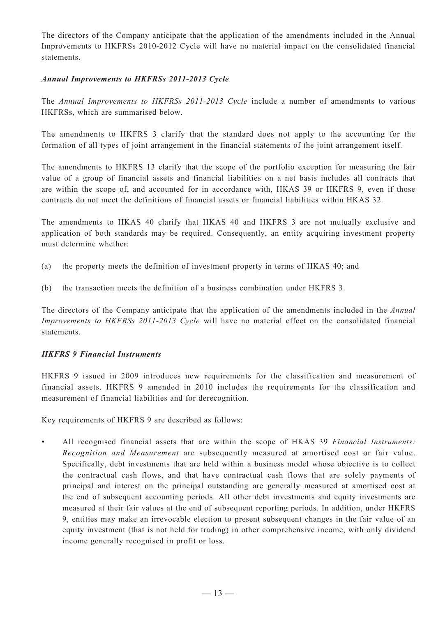The directors of the Company anticipate that the application of the amendments included in the Annual Improvements to HKFRSs 2010-2012 Cycle will have no material impact on the consolidated financial statements.

#### *Annual Improvements to HKFRSs 2011-2013 Cycle*

The *Annual Improvements to HKFRSs 2011-2013 Cycle* include a number of amendments to various HKFRSs, which are summarised below.

The amendments to HKFRS 3 clarify that the standard does not apply to the accounting for the formation of all types of joint arrangement in the financial statements of the joint arrangement itself.

The amendments to HKFRS 13 clarify that the scope of the portfolio exception for measuring the fair value of a group of financial assets and financial liabilities on a net basis includes all contracts that are within the scope of, and accounted for in accordance with, HKAS 39 or HKFRS 9, even if those contracts do not meet the definitions of financial assets or financial liabilities within HKAS 32.

The amendments to HKAS 40 clarify that HKAS 40 and HKFRS 3 are not mutually exclusive and application of both standards may be required. Consequently, an entity acquiring investment property must determine whether:

- (a) the property meets the definition of investment property in terms of HKAS 40; and
- (b) the transaction meets the definition of a business combination under HKFRS 3.

The directors of the Company anticipate that the application of the amendments included in the *Annual Improvements to HKFRSs 2011-2013 Cycle* will have no material effect on the consolidated financial statements.

#### *HKFRS 9 Financial Instruments*

HKFRS 9 issued in 2009 introduces new requirements for the classification and measurement of financial assets. HKFRS 9 amended in 2010 includes the requirements for the classification and measurement of financial liabilities and for derecognition.

Key requirements of HKFRS 9 are described as follows:

• All recognised financial assets that are within the scope of HKAS 39 *Financial Instruments: Recognition and Measurement* are subsequently measured at amortised cost or fair value. Specifically, debt investments that are held within a business model whose objective is to collect the contractual cash flows, and that have contractual cash flows that are solely payments of principal and interest on the principal outstanding are generally measured at amortised cost at the end of subsequent accounting periods. All other debt investments and equity investments are measured at their fair values at the end of subsequent reporting periods. In addition, under HKFRS 9, entities may make an irrevocable election to present subsequent changes in the fair value of an equity investment (that is not held for trading) in other comprehensive income, with only dividend income generally recognised in profit or loss.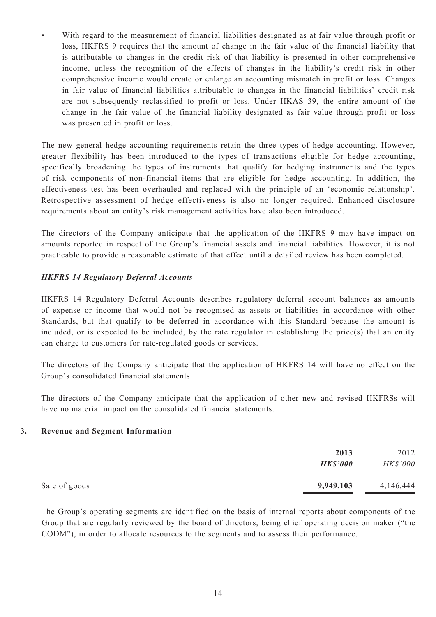With regard to the measurement of financial liabilities designated as at fair value through profit or loss, HKFRS 9 requires that the amount of change in the fair value of the financial liability that is attributable to changes in the credit risk of that liability is presented in other comprehensive income, unless the recognition of the effects of changes in the liability's credit risk in other comprehensive income would create or enlarge an accounting mismatch in profit or loss. Changes in fair value of financial liabilities attributable to changes in the financial liabilities' credit risk are not subsequently reclassified to profit or loss. Under HKAS 39, the entire amount of the change in the fair value of the financial liability designated as fair value through profit or loss was presented in profit or loss.

The new general hedge accounting requirements retain the three types of hedge accounting. However, greater flexibility has been introduced to the types of transactions eligible for hedge accounting, specifically broadening the types of instruments that qualify for hedging instruments and the types of risk components of non-financial items that are eligible for hedge accounting. In addition, the effectiveness test has been overhauled and replaced with the principle of an 'economic relationship'. Retrospective assessment of hedge effectiveness is also no longer required. Enhanced disclosure requirements about an entity's risk management activities have also been introduced.

The directors of the Company anticipate that the application of the HKFRS 9 may have impact on amounts reported in respect of the Group's financial assets and financial liabilities. However, it is not practicable to provide a reasonable estimate of that effect until a detailed review has been completed.

## *HKFRS 14 Regulatory Deferral Accounts*

HKFRS 14 Regulatory Deferral Accounts describes regulatory deferral account balances as amounts of expense or income that would not be recognised as assets or liabilities in accordance with other Standards, but that qualify to be deferred in accordance with this Standard because the amount is included, or is expected to be included, by the rate regulator in establishing the price(s) that an entity can charge to customers for rate-regulated goods or services.

The directors of the Company anticipate that the application of HKFRS 14 will have no effect on the Group's consolidated financial statements.

The directors of the Company anticipate that the application of other new and revised HKFRSs will have no material impact on the consolidated financial statements.

#### **3. Revenue and Segment Information**

|               | 2013<br><b>HK\$'000</b> | 2012<br>HK\$'000 |
|---------------|-------------------------|------------------|
| Sale of goods | 9,949,103               | 4,146,444        |

The Group's operating segments are identified on the basis of internal reports about components of the Group that are regularly reviewed by the board of directors, being chief operating decision maker ("the CODM"), in order to allocate resources to the segments and to assess their performance.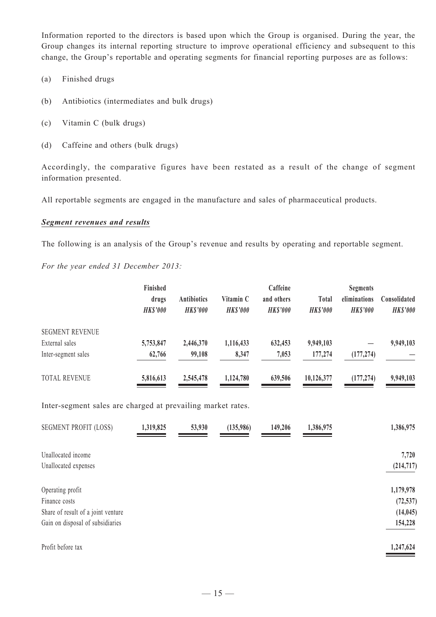Information reported to the directors is based upon which the Group is organised. During the year, the Group changes its internal reporting structure to improve operational efficiency and subsequent to this change, the Group's reportable and operating segments for financial reporting purposes are as follows:

- (a) Finished drugs
- (b) Antibiotics (intermediates and bulk drugs)
- (c) Vitamin C (bulk drugs)
- (d) Caffeine and others (bulk drugs)

Accordingly, the comparative figures have been restated as a result of the change of segment information presented.

All reportable segments are engaged in the manufacture and sales of pharmaceutical products.

#### *Segment revenues and results*

The following is an analysis of the Group's revenue and results by operating and reportable segment.

*For the year ended 31 December 2013:*

|                        | Finished       |                    |                | Caffeine       |                | <b>Segments</b> |                 |
|------------------------|----------------|--------------------|----------------|----------------|----------------|-----------------|-----------------|
|                        | drugs          | <b>Antibiotics</b> | Vitamin C      | and others     | Total          | eliminations    | Consolidated    |
|                        | <b>HKS'000</b> | <b>HKS'000</b>     | <b>HKS'000</b> | <b>HKS'000</b> | <b>HKS'000</b> | <b>HKS'000</b>  | <b>HK\$'000</b> |
| <b>SEGMENT REVENUE</b> |                |                    |                |                |                |                 |                 |
| External sales         | 5,753,847      | 2,446,370          | 1,116,433      | 632,453        | 9,949,103      |                 | 9,949,103       |
| Inter-segment sales    | 62,766         | 99,108             | 8,347          | 7,053          | 177,274        | (177, 274)      |                 |
| <b>TOTAL REVENUE</b>   | 5,816,613      | 2,545,478          | 1,124,780      | 639,506        | 10,126,377     | (177, 274)      | 9,949,103       |

Inter-segment sales are charged at prevailing market rates.

| <b>SEGMENT PROFIT (LOSS)</b>       | 1,319,825 | 53,930 | (135,986) | 149,206 | 1,386,975 | 1,386,975  |
|------------------------------------|-----------|--------|-----------|---------|-----------|------------|
| Unallocated income                 |           |        |           |         |           | 7,720      |
| Unallocated expenses               |           |        |           |         |           | (214, 717) |
| Operating profit                   |           |        |           |         |           | 1,179,978  |
| Finance costs                      |           |        |           |         |           | (72, 537)  |
| Share of result of a joint venture |           |        |           |         |           | (14, 045)  |
| Gain on disposal of subsidiaries   |           |        |           |         |           | 154,228    |
| Profit before tax                  |           |        |           |         |           | 1,247,624  |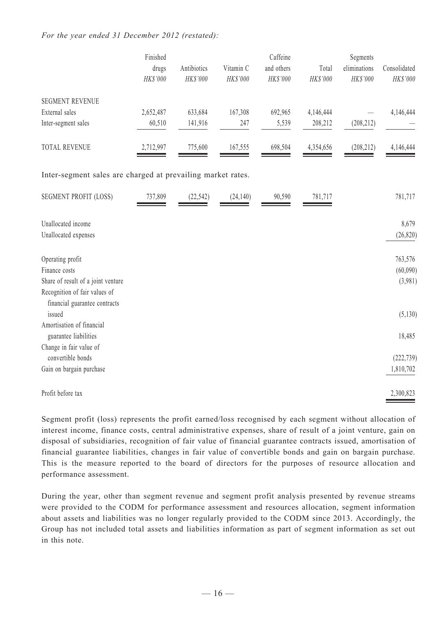#### *For the year ended 31 December 2012 (restated):*

|                                                             | Finished<br>drugs<br>HK\$'000 | Antibiotics<br>HK\$'000 | Vitamin C<br>HK\$'000 | Caffeine<br>and others<br>HK\$'000 | Total<br>HK\$'000 | Segments<br>eliminations<br>HK\$'000 | Consolidated<br>HK\$'000 |
|-------------------------------------------------------------|-------------------------------|-------------------------|-----------------------|------------------------------------|-------------------|--------------------------------------|--------------------------|
| <b>SEGMENT REVENUE</b>                                      |                               |                         |                       |                                    |                   |                                      |                          |
| External sales                                              | 2,652,487                     | 633,684                 | 167,308               | 692,965                            | 4,146,444         |                                      | 4,146,444                |
| Inter-segment sales                                         | 60,510                        | 141,916                 | 247                   | 5,539                              | 208,212           | (208, 212)                           |                          |
| TOTAL REVENUE                                               | 2,712,997                     | 775,600                 | 167,555               | 698,504                            | 4,354,656         | (208, 212)                           | 4,146,444                |
| Inter-segment sales are charged at prevailing market rates. |                               |                         |                       |                                    |                   |                                      |                          |
| <b>SEGMENT PROFIT (LOSS)</b>                                | 737,809                       | (22, 542)               | (24, 140)             | 90,590                             | 781,717           |                                      | 781,717                  |
| Unallocated income                                          |                               |                         |                       |                                    |                   |                                      | 8,679                    |
| Unallocated expenses                                        |                               |                         |                       |                                    |                   |                                      | (26, 820)                |
| Operating profit                                            |                               |                         |                       |                                    |                   |                                      | 763,576                  |
| Finance costs                                               |                               |                         |                       |                                    |                   |                                      | (60,090)                 |
| Share of result of a joint venture                          |                               |                         |                       |                                    |                   |                                      | (3,981)                  |
| Recognition of fair values of                               |                               |                         |                       |                                    |                   |                                      |                          |
| financial guarantee contracts<br>issued                     |                               |                         |                       |                                    |                   |                                      | (5,130)                  |
| Amortisation of financial                                   |                               |                         |                       |                                    |                   |                                      |                          |
| guarantee liabilities                                       |                               |                         |                       |                                    |                   |                                      | 18,485                   |
| Change in fair value of                                     |                               |                         |                       |                                    |                   |                                      |                          |
| convertible bonds                                           |                               |                         |                       |                                    |                   |                                      | (222, 739)               |
| Gain on bargain purchase                                    |                               |                         |                       |                                    |                   |                                      | 1,810,702                |
| Profit before tax                                           |                               |                         |                       |                                    |                   |                                      | 2,300,823                |

Segment profit (loss) represents the profit earned/loss recognised by each segment without allocation of interest income, finance costs, central administrative expenses, share of result of a joint venture, gain on disposal of subsidiaries, recognition of fair value of financial guarantee contracts issued, amortisation of financial guarantee liabilities, changes in fair value of convertible bonds and gain on bargain purchase. This is the measure reported to the board of directors for the purposes of resource allocation and performance assessment.

During the year, other than segment revenue and segment profit analysis presented by revenue streams were provided to the CODM for performance assessment and resources allocation, segment information about assets and liabilities was no longer regularly provided to the CODM since 2013. Accordingly, the Group has not included total assets and liabilities information as part of segment information as set out in this note.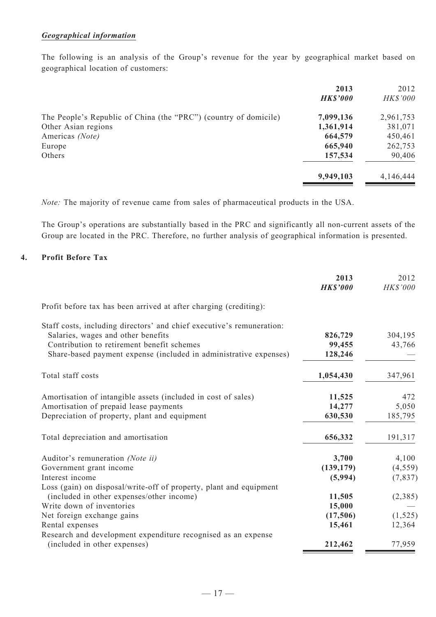#### *Geographical information*

The following is an analysis of the Group's revenue for the year by geographical market based on geographical location of customers:

|                                                                  | 2013<br><b>HK\$'000</b> | 2012<br>HK\$'000   |
|------------------------------------------------------------------|-------------------------|--------------------|
| The People's Republic of China (the "PRC") (country of domicile) | 7,099,136               | 2,961,753          |
| Other Asian regions<br>Americas (Note)                           | 1,361,914<br>664,579    | 381,071<br>450,461 |
| Europe                                                           | 665,940                 | 262,753            |
| Others                                                           | 157,534                 | 90,406             |
|                                                                  | 9,949,103               | 4,146,444          |

*Note:* The majority of revenue came from sales of pharmaceutical products in the USA.

The Group's operations are substantially based in the PRC and significantly all non-current assets of the Group are located in the PRC. Therefore, no further analysis of geographical information is presented.

#### **4. Profit Before Tax**

|                                                                                               | 2013<br><b>HK\$'000</b> | 2012<br>HK\$'000 |
|-----------------------------------------------------------------------------------------------|-------------------------|------------------|
| Profit before tax has been arrived at after charging (crediting):                             |                         |                  |
| Staff costs, including directors' and chief executive's remuneration:                         |                         |                  |
| Salaries, wages and other benefits                                                            | 826,729                 | 304,195          |
| Contribution to retirement benefit schemes                                                    | 99,455                  | 43,766           |
| Share-based payment expense (included in administrative expenses)                             | 128,246                 |                  |
| Total staff costs                                                                             | 1,054,430               | 347,961          |
| Amortisation of intangible assets (included in cost of sales)                                 | 11,525                  | 472              |
| Amortisation of prepaid lease payments                                                        | 14,277                  | 5,050            |
| Depreciation of property, plant and equipment                                                 | 630,530                 | 185,795          |
| Total depreciation and amortisation                                                           | 656,332                 | 191,317          |
| Auditor's remuneration (Note ii)                                                              | 3,700                   | 4,100            |
| Government grant income                                                                       | (139, 179)              | (4, 559)         |
| Interest income                                                                               | (5,994)                 | (7, 837)         |
| Loss (gain) on disposal/write-off of property, plant and equipment                            |                         |                  |
| (included in other expenses/other income)                                                     | 11,505                  | (2,385)          |
| Write down of inventories                                                                     | 15,000                  |                  |
| Net foreign exchange gains                                                                    | (17,506)                | (1, 525)         |
| Rental expenses                                                                               | 15,461                  | 12,364           |
| Research and development expenditure recognised as an expense<br>(included in other expenses) | 212,462                 | 77,959           |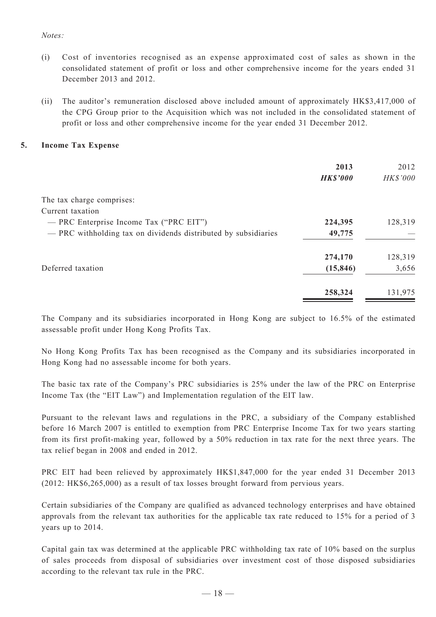#### *Notes:*

- (i) Cost of inventories recognised as an expense approximated cost of sales as shown in the consolidated statement of profit or loss and other comprehensive income for the years ended 31 December 2013 and 2012.
- (ii) The auditor's remuneration disclosed above included amount of approximately HK\$3,417,000 of the CPG Group prior to the Acquisition which was not included in the consolidated statement of profit or loss and other comprehensive income for the year ended 31 December 2012.

#### **5. Income Tax Expense**

|                                                                | 2013<br><b>HK\$'000</b> | 2012<br><b>HK\$'000</b> |
|----------------------------------------------------------------|-------------------------|-------------------------|
| The tax charge comprises:                                      |                         |                         |
| Current taxation                                               |                         |                         |
| — PRC Enterprise Income Tax ("PRC EIT")                        | 224,395                 | 128,319                 |
| - PRC withholding tax on dividends distributed by subsidiaries | 49,775                  |                         |
|                                                                | 274,170                 | 128,319                 |
| Deferred taxation                                              | (15, 846)               | 3,656                   |
|                                                                | 258,324                 | 131,975                 |

The Company and its subsidiaries incorporated in Hong Kong are subject to 16.5% of the estimated assessable profit under Hong Kong Profits Tax.

No Hong Kong Profits Tax has been recognised as the Company and its subsidiaries incorporated in Hong Kong had no assessable income for both years.

The basic tax rate of the Company's PRC subsidiaries is 25% under the law of the PRC on Enterprise Income Tax (the "EIT Law") and Implementation regulation of the EIT law.

Pursuant to the relevant laws and regulations in the PRC, a subsidiary of the Company established before 16 March 2007 is entitled to exemption from PRC Enterprise Income Tax for two years starting from its first profit-making year, followed by a 50% reduction in tax rate for the next three years. The tax relief began in 2008 and ended in 2012.

PRC EIT had been relieved by approximately HK\$1,847,000 for the year ended 31 December 2013 (2012: HK\$6,265,000) as a result of tax losses brought forward from pervious years.

Certain subsidiaries of the Company are qualified as advanced technology enterprises and have obtained approvals from the relevant tax authorities for the applicable tax rate reduced to 15% for a period of 3 years up to 2014.

Capital gain tax was determined at the applicable PRC withholding tax rate of 10% based on the surplus of sales proceeds from disposal of subsidiaries over investment cost of those disposed subsidiaries according to the relevant tax rule in the PRC.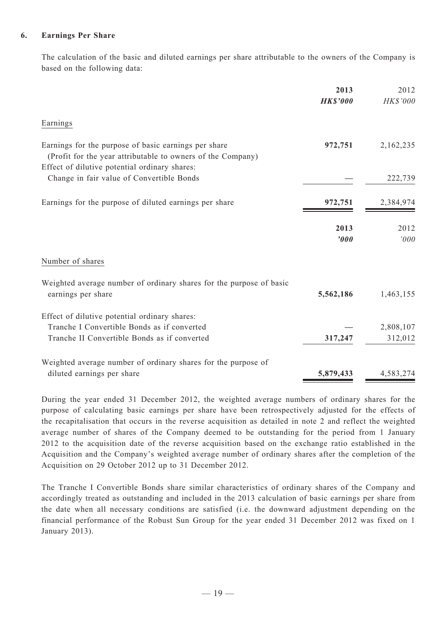#### **6. Earnings Per Share**

The calculation of the basic and diluted earnings per share attributable to the owners of the Company is based on the following data:

|                                                                                                                     | 2013<br><b>HK\$'000</b> | 2012<br><b>HK\$'000</b> |
|---------------------------------------------------------------------------------------------------------------------|-------------------------|-------------------------|
| Earnings                                                                                                            |                         |                         |
| Earnings for the purpose of basic earnings per share<br>(Profit for the year attributable to owners of the Company) | 972,751                 | 2,162,235               |
| Effect of dilutive potential ordinary shares:<br>Change in fair value of Convertible Bonds                          |                         | 222,739                 |
| Earnings for the purpose of diluted earnings per share                                                              | 972,751                 | 2,384,974               |
|                                                                                                                     | 2013<br>'000            | 2012<br>'000            |
| Number of shares                                                                                                    |                         |                         |
| Weighted average number of ordinary shares for the purpose of basic<br>earnings per share                           | 5,562,186               | 1,463,155               |
| Effect of dilutive potential ordinary shares:<br>Tranche I Convertible Bonds as if converted                        |                         | 2,808,107               |
| Tranche II Convertible Bonds as if converted                                                                        | 317,247                 | 312,012                 |
| Weighted average number of ordinary shares for the purpose of                                                       |                         |                         |
| diluted earnings per share                                                                                          | 5,879,433               | 4,583,274               |

During the year ended 31 December 2012, the weighted average numbers of ordinary shares for the purpose of calculating basic earnings per share have been retrospectively adjusted for the effects of the recapitalisation that occurs in the reverse acquisition as detailed in note 2 and reflect the weighted average number of shares of the Company deemed to be outstanding for the period from 1 January 2012 to the acquisition date of the reverse acquisition based on the exchange ratio established in the Acquisition and the Company's weighted average number of ordinary shares after the completion of the Acquisition on 29 October 2012 up to 31 December 2012.

The Tranche I Convertible Bonds share similar characteristics of ordinary shares of the Company and accordingly treated as outstanding and included in the 2013 calculation of basic earnings per share from the date when all necessary conditions are satisfied (i.e. the downward adjustment depending on the financial performance of the Robust Sun Group for the year ended 31 December 2012 was fixed on 1 January 2013).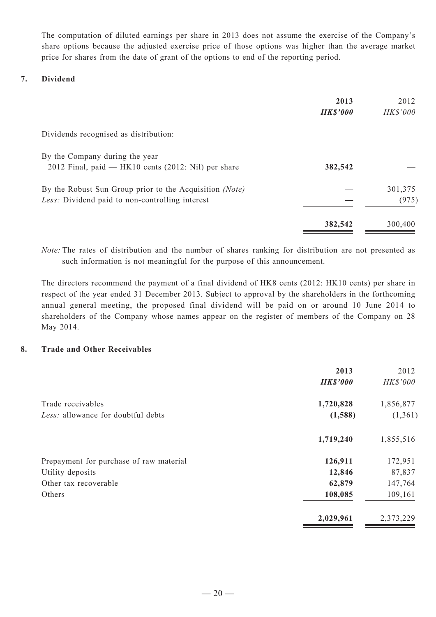The computation of diluted earnings per share in 2013 does not assume the exercise of the Company's share options because the adjusted exercise price of those options was higher than the average market price for shares from the date of grant of the options to end of the reporting period.

## **7. Dividend**

|                                                                                                            | 2013<br><b>HK\$'000</b> | 2012<br><b>HK\$'000</b> |
|------------------------------------------------------------------------------------------------------------|-------------------------|-------------------------|
| Dividends recognised as distribution:                                                                      |                         |                         |
| By the Company during the year<br>2012 Final, paid $-$ HK10 cents (2012: Nil) per share                    | 382,542                 |                         |
| By the Robust Sun Group prior to the Acquisition (Note)<br>Less: Dividend paid to non-controlling interest |                         | 301,375<br>(975)        |
|                                                                                                            | 382,542                 | 300,400                 |

*Note:* The rates of distribution and the number of shares ranking for distribution are not presented as such information is not meaningful for the purpose of this announcement.

The directors recommend the payment of a final dividend of HK8 cents (2012: HK10 cents) per share in respect of the year ended 31 December 2013. Subject to approval by the shareholders in the forthcoming annual general meeting, the proposed final dividend will be paid on or around 10 June 2014 to shareholders of the Company whose names appear on the register of members of the Company on 28 May 2014.

### **8. Trade and Other Receivables**

|                                         | 2013<br><b>HK\$'000</b> | 2012<br><b>HK\$'000</b> |
|-----------------------------------------|-------------------------|-------------------------|
| Trade receivables                       | 1,720,828               | 1,856,877               |
| Less: allowance for doubtful debts      | (1,588)                 | (1,361)                 |
|                                         | 1,719,240               | 1,855,516               |
| Prepayment for purchase of raw material | 126,911                 | 172,951                 |
| Utility deposits                        | 12,846                  | 87,837                  |
| Other tax recoverable                   | 62,879                  | 147,764                 |
| Others                                  | 108,085                 | 109,161                 |
|                                         | 2,029,961               | 2,373,229               |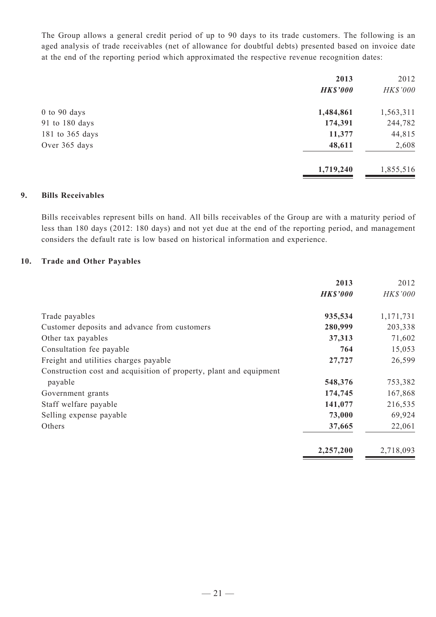The Group allows a general credit period of up to 90 days to its trade customers. The following is an aged analysis of trade receivables (net of allowance for doubtful debts) presented based on invoice date at the end of the reporting period which approximated the respective revenue recognition dates:

| 2013            | 2012      |
|-----------------|-----------|
| <b>HK\$'000</b> | HK\$'000  |
| 1,484,861       | 1,563,311 |
| 174,391         | 244,782   |
| 11,377          | 44,815    |
| 48,611          | 2,608     |
| 1,719,240       | 1,855,516 |
|                 |           |

#### **9. Bills Receivables**

Bills receivables represent bills on hand. All bills receivables of the Group are with a maturity period of less than 180 days (2012: 180 days) and not yet due at the end of the reporting period, and management considers the default rate is low based on historical information and experience.

#### **10. Trade and Other Payables**

|                                                                    | 2013            | 2012      |
|--------------------------------------------------------------------|-----------------|-----------|
|                                                                    | <b>HK\$'000</b> | HK\$'000  |
| Trade payables                                                     | 935,534         | 1,171,731 |
| Customer deposits and advance from customers                       | 280,999         | 203,338   |
| Other tax payables                                                 | 37,313          | 71,602    |
| Consultation fee payable                                           | 764             | 15,053    |
| Freight and utilities charges payable                              | 27,727          | 26,599    |
| Construction cost and acquisition of property, plant and equipment |                 |           |
| payable                                                            | 548,376         | 753,382   |
| Government grants                                                  | 174,745         | 167,868   |
| Staff welfare payable                                              | 141,077         | 216,535   |
| Selling expense payable                                            | 73,000          | 69,924    |
| Others                                                             | 37,665          | 22,061    |
|                                                                    | 2,257,200       | 2,718,093 |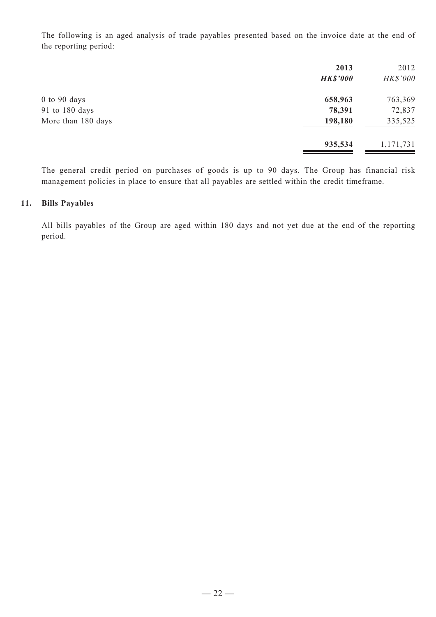The following is an aged analysis of trade payables presented based on the invoice date at the end of the reporting period:

|                    | 2013<br><b>HK\$'000</b> | 2012<br><b>HK\$'000</b> |
|--------------------|-------------------------|-------------------------|
| $0$ to 90 days     | 658,963                 | 763,369                 |
| 91 to 180 days     | 78,391                  | 72,837                  |
| More than 180 days | 198,180                 | 335,525                 |
|                    | 935,534                 | 1,171,731               |

The general credit period on purchases of goods is up to 90 days. The Group has financial risk management policies in place to ensure that all payables are settled within the credit timeframe.

#### **11. Bills Payables**

All bills payables of the Group are aged within 180 days and not yet due at the end of the reporting period.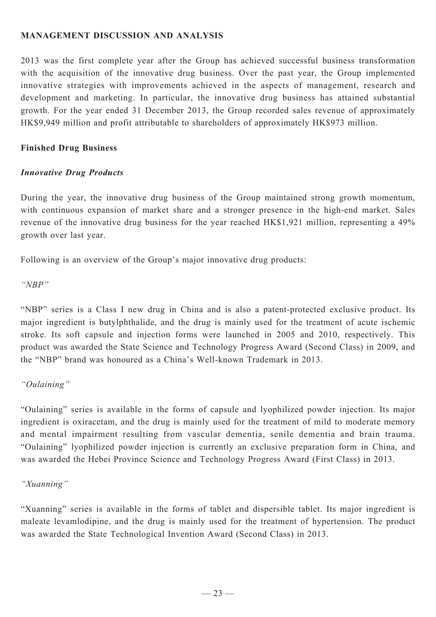## **MANAGEMENT DISCUSSION AND ANALYSIS**

2013 was the first complete year after the Group has achieved successful business transformation with the acquisition of the innovative drug business. Over the past year, the Group implemented innovative strategies with improvements achieved in the aspects of management, research and development and marketing. In particular, the innovative drug business has attained substantial growth. For the year ended 31 December 2013, the Group recorded sales revenue of approximately HK\$9,949 million and profit attributable to shareholders of approximately HK\$973 million.

#### **Finished Drug Business**

#### *Innovative Drug Products*

During the year, the innovative drug business of the Group maintained strong growth momentum, with continuous expansion of market share and a stronger presence in the high-end market. Sales revenue of the innovative drug business for the year reached HK\$1,921 million, representing a 49% growth over last year.

Following is an overview of the Group's major innovative drug products:

*"NBP"*

"NBP" series is a Class I new drug in China and is also a patent-protected exclusive product. Its major ingredient is butylphthalide, and the drug is mainly used for the treatment of acute ischemic stroke. Its soft capsule and injection forms were launched in 2005 and 2010, respectively. This product was awarded the State Science and Technology Progress Award (Second Class) in 2009, and the "NBP" brand was honoured as a China's Well-known Trademark in 2013.

## *"Oulaining"*

"Oulaining" series is available in the forms of capsule and lyophilized powder injection. Its major ingredient is oxiracetam, and the drug is mainly used for the treatment of mild to moderate memory and mental impairment resulting from vascular dementia, senile dementia and brain trauma. "Oulaining" lyophilized powder injection is currently an exclusive preparation form in China, and was awarded the Hebei Province Science and Technology Progress Award (First Class) in 2013.

## *"Xuanning"*

"Xuanning" series is available in the forms of tablet and dispersible tablet. Its major ingredient is maleate levamlodipine, and the drug is mainly used for the treatment of hypertension. The product was awarded the State Technological Invention Award (Second Class) in 2013.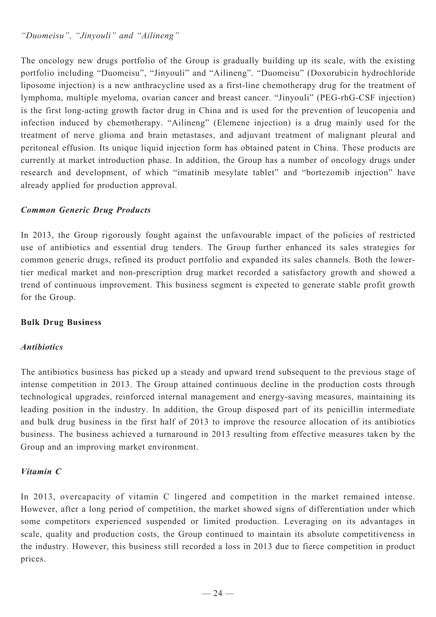*"Duomeisu", "Jinyouli" and "Ailineng"*

The oncology new drugs portfolio of the Group is gradually building up its scale, with the existing portfolio including "Duomeisu", "Jinyouli" and "Ailineng". "Duomeisu" (Doxorubicin hydrochloride liposome injection) is a new anthracycline used as a first-line chemotherapy drug for the treatment of lymphoma, multiple myeloma, ovarian cancer and breast cancer. "Jinyouli" (PEG-rhG-CSF injection) is the first long-acting growth factor drug in China and is used for the prevention of leucopenia and infection induced by chemotherapy. "Ailineng" (Elemene injection) is a drug mainly used for the treatment of nerve glioma and brain metastases, and adjuvant treatment of malignant pleural and peritoneal effusion. Its unique liquid injection form has obtained patent in China. These products are currently at market introduction phase. In addition, the Group has a number of oncology drugs under research and development, of which "imatinib mesylate tablet" and "bortezomib injection" have already applied for production approval.

## *Common Generic Drug Products*

In 2013, the Group rigorously fought against the unfavourable impact of the policies of restricted use of antibiotics and essential drug tenders. The Group further enhanced its sales strategies for common generic drugs, refined its product portfolio and expanded its sales channels. Both the lowertier medical market and non-prescription drug market recorded a satisfactory growth and showed a trend of continuous improvement. This business segment is expected to generate stable profit growth for the Group.

## **Bulk Drug Business**

## *Antibiotics*

The antibiotics business has picked up a steady and upward trend subsequent to the previous stage of intense competition in 2013. The Group attained continuous decline in the production costs through technological upgrades, reinforced internal management and energy-saving measures, maintaining its leading position in the industry. In addition, the Group disposed part of its penicillin intermediate and bulk drug business in the first half of 2013 to improve the resource allocation of its antibiotics business. The business achieved a turnaround in 2013 resulting from effective measures taken by the Group and an improving market environment.

## *Vitamin C*

In 2013, overcapacity of vitamin C lingered and competition in the market remained intense. However, after a long period of competition, the market showed signs of differentiation under which some competitors experienced suspended or limited production. Leveraging on its advantages in scale, quality and production costs, the Group continued to maintain its absolute competitiveness in the industry. However, this business still recorded a loss in 2013 due to fierce competition in product prices.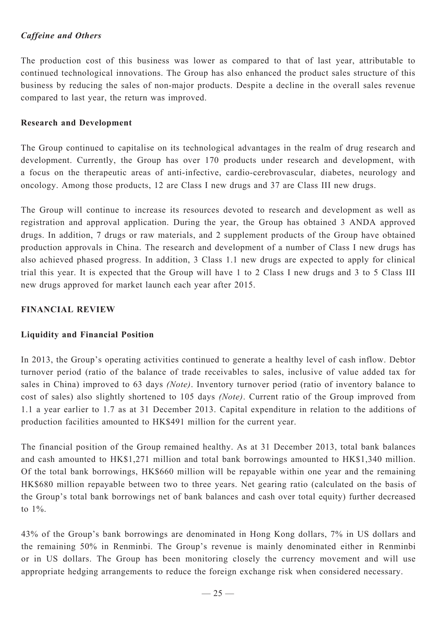## *Caffeine and Others*

The production cost of this business was lower as compared to that of last year, attributable to continued technological innovations. The Group has also enhanced the product sales structure of this business by reducing the sales of non-major products. Despite a decline in the overall sales revenue compared to last year, the return was improved.

## **Research and Development**

The Group continued to capitalise on its technological advantages in the realm of drug research and development. Currently, the Group has over 170 products under research and development, with a focus on the therapeutic areas of anti-infective, cardio-cerebrovascular, diabetes, neurology and oncology. Among those products, 12 are Class I new drugs and 37 are Class III new drugs.

The Group will continue to increase its resources devoted to research and development as well as registration and approval application. During the year, the Group has obtained 3 ANDA approved drugs. In addition, 7 drugs or raw materials, and 2 supplement products of the Group have obtained production approvals in China. The research and development of a number of Class I new drugs has also achieved phased progress. In addition, 3 Class 1.1 new drugs are expected to apply for clinical trial this year. It is expected that the Group will have 1 to 2 Class I new drugs and 3 to 5 Class III new drugs approved for market launch each year after 2015.

## **Financial Review**

## **Liquidity and Financial Position**

In 2013, the Group's operating activities continued to generate a healthy level of cash inflow. Debtor turnover period (ratio of the balance of trade receivables to sales, inclusive of value added tax for sales in China) improved to 63 days *(Note)*. Inventory turnover period (ratio of inventory balance to cost of sales) also slightly shortened to 105 days *(Note)*. Current ratio of the Group improved from 1.1 a year earlier to 1.7 as at 31 December 2013. Capital expenditure in relation to the additions of production facilities amounted to HK\$491 million for the current year.

The financial position of the Group remained healthy. As at 31 December 2013, total bank balances and cash amounted to HK\$1,271 million and total bank borrowings amounted to HK\$1,340 million. Of the total bank borrowings, HK\$660 million will be repayable within one year and the remaining HK\$680 million repayable between two to three years. Net gearing ratio (calculated on the basis of the Group's total bank borrowings net of bank balances and cash over total equity) further decreased to 1%.

43% of the Group's bank borrowings are denominated in Hong Kong dollars, 7% in US dollars and the remaining 50% in Renminbi. The Group's revenue is mainly denominated either in Renminbi or in US dollars. The Group has been monitoring closely the currency movement and will use appropriate hedging arrangements to reduce the foreign exchange risk when considered necessary.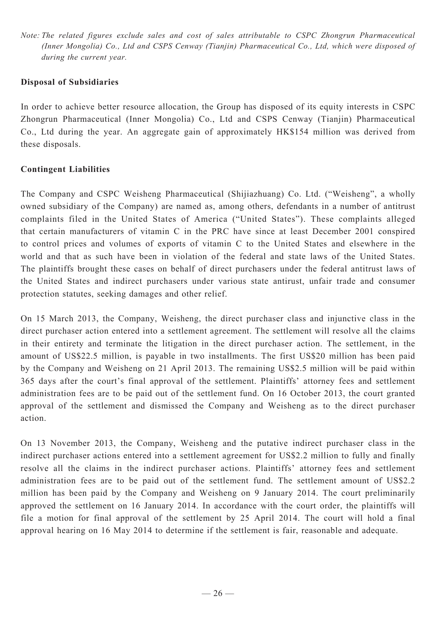*Note: The related figures exclude sales and cost of sales attributable to CSPC Zhongrun Pharmaceutical (Inner Mongolia) Co., Ltd and CSPS Cenway (Tianjin) Pharmaceutical Co., Ltd, which were disposed of during the current year.*

## **Disposal of Subsidiaries**

In order to achieve better resource allocation, the Group has disposed of its equity interests in CSPC Zhongrun Pharmaceutical (Inner Mongolia) Co., Ltd and CSPS Cenway (Tianjin) Pharmaceutical Co., Ltd during the year. An aggregate gain of approximately HK\$154 million was derived from these disposals.

## **Contingent Liabilities**

The Company and CSPC Weisheng Pharmaceutical (Shijiazhuang) Co. Ltd. ("Weisheng", a wholly owned subsidiary of the Company) are named as, among others, defendants in a number of antitrust complaints filed in the United States of America ("United States"). These complaints alleged that certain manufacturers of vitamin C in the PRC have since at least December 2001 conspired to control prices and volumes of exports of vitamin C to the United States and elsewhere in the world and that as such have been in violation of the federal and state laws of the United States. The plaintiffs brought these cases on behalf of direct purchasers under the federal antitrust laws of the United States and indirect purchasers under various state antirust, unfair trade and consumer protection statutes, seeking damages and other relief.

On 15 March 2013, the Company, Weisheng, the direct purchaser class and injunctive class in the direct purchaser action entered into a settlement agreement. The settlement will resolve all the claims in their entirety and terminate the litigation in the direct purchaser action. The settlement, in the amount of US\$22.5 million, is payable in two installments. The first US\$20 million has been paid by the Company and Weisheng on 21 April 2013. The remaining US\$2.5 million will be paid within 365 days after the court's final approval of the settlement. Plaintiffs' attorney fees and settlement administration fees are to be paid out of the settlement fund. On 16 October 2013, the court granted approval of the settlement and dismissed the Company and Weisheng as to the direct purchaser action.

On 13 November 2013, the Company, Weisheng and the putative indirect purchaser class in the indirect purchaser actions entered into a settlement agreement for US\$2.2 million to fully and finally resolve all the claims in the indirect purchaser actions. Plaintiffs' attorney fees and settlement administration fees are to be paid out of the settlement fund. The settlement amount of US\$2.2 million has been paid by the Company and Weisheng on 9 January 2014. The court preliminarily approved the settlement on 16 January 2014. In accordance with the court order, the plaintiffs will file a motion for final approval of the settlement by 25 April 2014. The court will hold a final approval hearing on 16 May 2014 to determine if the settlement is fair, reasonable and adequate.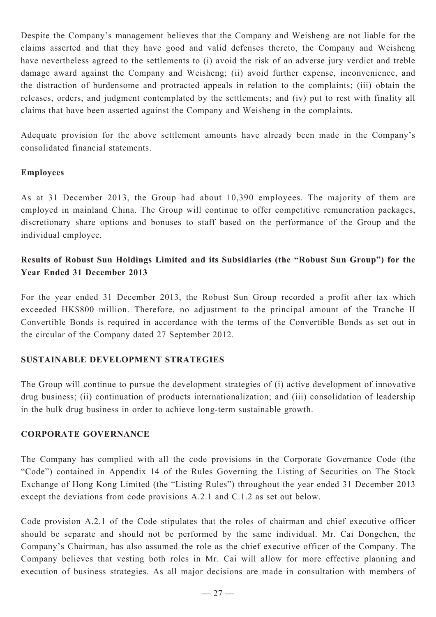Despite the Company's management believes that the Company and Weisheng are not liable for the claims asserted and that they have good and valid defenses thereto, the Company and Weisheng have nevertheless agreed to the settlements to (i) avoid the risk of an adverse jury verdict and treble damage award against the Company and Weisheng; (ii) avoid further expense, inconvenience, and the distraction of burdensome and protracted appeals in relation to the complaints; (iii) obtain the releases, orders, and judgment contemplated by the settlements; and (iv) put to rest with finality all claims that have been asserted against the Company and Weisheng in the complaints.

Adequate provision for the above settlement amounts have already been made in the Company's consolidated financial statements.

#### **Employees**

As at 31 December 2013, the Group had about 10,390 employees. The majority of them are employed in mainland China. The Group will continue to offer competitive remuneration packages, discretionary share options and bonuses to staff based on the performance of the Group and the individual employee.

## **Results of Robust Sun Holdings Limited and its Subsidiaries (the "Robust Sun Group") for the Year Ended 31 December 2013**

For the year ended 31 December 2013, the Robust Sun Group recorded a profit after tax which exceeded HK\$800 million. Therefore, no adjustment to the principal amount of the Tranche II Convertible Bonds is required in accordance with the terms of the Convertible Bonds as set out in the circular of the Company dated 27 September 2012.

## **Sustainable Development Strategies**

The Group will continue to pursue the development strategies of (i) active development of innovative drug business; (ii) continuation of products internationalization; and (iii) consolidation of leadership in the bulk drug business in order to achieve long-term sustainable growth.

## **CORPORATE GOVERNANCE**

The Company has complied with all the code provisions in the Corporate Governance Code (the "Code") contained in Appendix 14 of the Rules Governing the Listing of Securities on The Stock Exchange of Hong Kong Limited (the "Listing Rules") throughout the year ended 31 December 2013 except the deviations from code provisions A.2.1 and C.1.2 as set out below.

Code provision A.2.1 of the Code stipulates that the roles of chairman and chief executive officer should be separate and should not be performed by the same individual. Mr. Cai Dongchen, the Company's Chairman, has also assumed the role as the chief executive officer of the Company. The Company believes that vesting both roles in Mr. Cai will allow for more effective planning and execution of business strategies. As all major decisions are made in consultation with members of